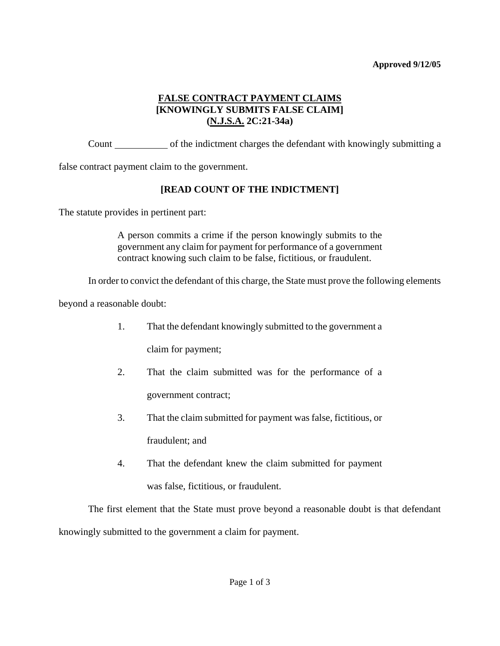#### **Approved 9/12/05**

## **FALSE CONTRACT PAYMENT CLAIMS [KNOWINGLY SUBMITS FALSE CLAIM] (N.J.S.A. 2C:21-34a)**

Count of the indictment charges the defendant with knowingly submitting a

false contract payment claim to the government.

## **[READ COUNT OF THE INDICTMENT]**

The statute provides in pertinent part:

A person commits a crime if the person knowingly submits to the government any claim for payment for performance of a government contract knowing such claim to be false, fictitious, or fraudulent.

In order to convict the defendant of this charge, the State must prove the following elements

beyond a reasonable doubt:

1. That the defendant knowingly submitted to the government a

claim for payment;

- 2. That the claim submitted was for the performance of a government contract;
- 3. That the claim submitted for payment was false, fictitious, or

fraudulent; and

4. That the defendant knew the claim submitted for payment

was false, fictitious, or fraudulent.

<span id="page-0-0"></span>The first element that the State must prove beyond a reasonable doubt is that defendant knowingly submitted to the government a claim for payment.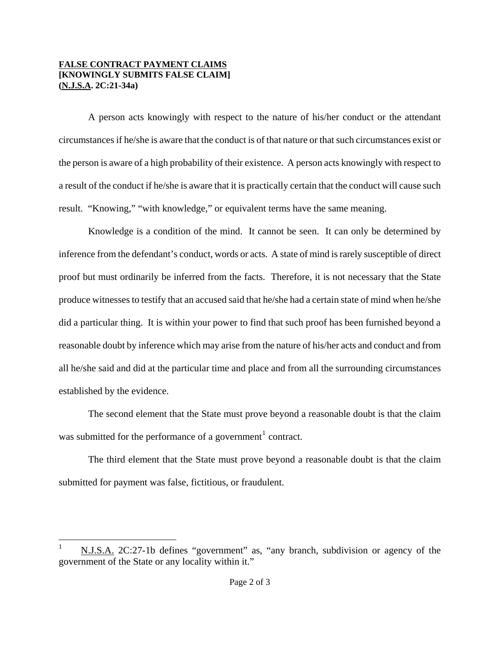#### **FALSE CONTRACT PAYMENT CLAIMS [KNOWINGLY SUBMITS FALSE CLAIM] (N.J.S.A. 2C:21-34a)**

 $\overline{a}$ 

A person acts knowingly with respect to the nature of his/her conduct or the attendant circumstances if he/she is aware that the conduct is of that nature or that such circumstances exist or the person is aware of a high probability of their existence. A person acts knowingly with respect to a result of the conduct if he/she is aware that it is practically certain that the conduct will cause such result. "Knowing," "with knowledge," or equivalent terms have the same meaning.

Knowledge is a condition of the mind. It cannot be seen. It can only be determined by inference from the defendant's conduct, words or acts. A state of mind is rarely susceptible of direct proof but must ordinarily be inferred from the facts. Therefore, it is not necessary that the State produce witnesses to testify that an accused said that he/she had a certain state of mind when he/she did a particular thing. It is within your power to find that such proof has been furnished beyond a reasonable doubt by inference which may arise from the nature of his/her acts and conduct and from all he/she said and did at the particular time and place and from all the surrounding circumstances established by the evidence.

The second element that the State must prove beyond a reasonable doubt is that the claim was submitted for the performance of a government<sup>[1](#page-0-0)</sup> contract.

The third element that the State must prove beyond a reasonable doubt is that the claim submitted for payment was false, fictitious, or fraudulent.

N.J.S.A. 2C:27-1b defines "government" as, "any branch, subdivision or agency of the government of the State or any locality within it."